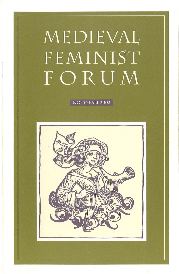# MEDIEVAL FEMINIST FORUM

NO. 34 FALL 2002

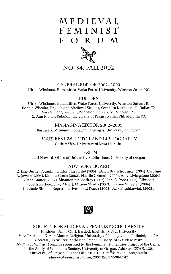## **MEDIEVAL FEMINIST** FOR U M



### **NO. 34, FALL 2002**

#### GENERAL EDITOR 2002-2003

Ulrike Wiethaus, Humanities, Wake Forest University, Winston-Salem NC

#### EDITORS

Ulrike Wiethaus, Humanities, Wake Forest University, Winston-Salem NC Bonnie Wheeler, English and Medieval Studies, Southern Methodist U, Dallas TX Sara S. Poor, German, Princeton University, Princeton NJ E. Ann Matter, Religion, University of Pennsylvania, Philadelphia PA

#### MANAGING EDITOR 2002-2003 Barbara K. Altmann, Romance Languages, University of Oregon

BOOK REVIEW EDITOR AND BIBLIOGRAPHY Chris Africa, University of Iowa Libraries

DESIGN Lori Howard, Office of University Publications, University of Oregon

#### ADVISORY BOARD

E. Jane Burns (Founding Editor), Lisa Bitel (2004), Dawn Bratsch-Prince (2004), Caroline A. Jewers (2004), Monica Green (2003), Natalie Grinnell (2003), Amy Livingstone (2004), E. Ann Matter (2002), Shannon McSheffrey (2002), Sara S. Poor (2003), Elizabeth Robertson (Founding Editor), Miriam Shadis (2003), Bonnie Wheeler (2004). Graduate Student Representatives: Patti Renda (2003), Alix Paschkowiak (2003).



#### SOCIETY FOR MEDIEVAL FEMINIST SCHOLARSHIP

President: Anne Clark Bartlett, English, DePaul University Vice-President: E. Ann Matter, Religion, University of Pennsylvania, Philadelphia PA Secretary-Treasurer: Katherine French, History, SUNY-New Paltz *Medieval Feminist Forum* is sponsored by the Feminist Humanities Project of the Center for the Study of Women in Society, University of Oregon. Address: CSWS, 1201 University of Oregon, Eugene OR 97403-1201, mff@oregon.uoregon.edu *Medieval Feminist Forum,* 2002 ISSN 1536-8742